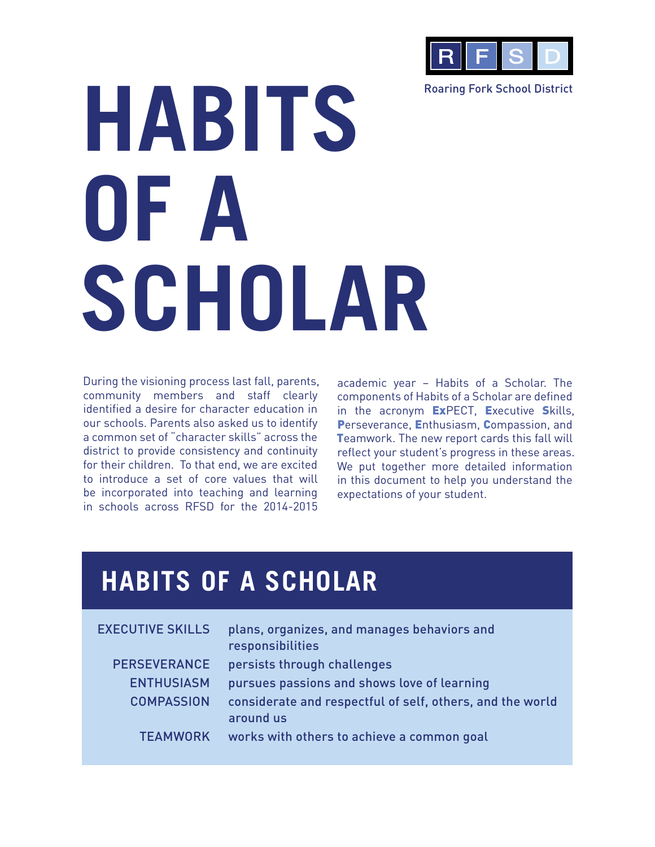

Roaring Fork School District

# **HABITS OF A SCHOLAR**

During the visioning process last fall, parents, community members and staff clearly identified a desire for character education in our schools. Parents also asked us to identify a common set of "character skills" across the district to provide consistency and continuity for their children. To that end, we are excited to introduce a set of core values that will be incorporated into teaching and learning in schools across RFSD for the 2014-2015

academic year – Habits of a Scholar. The components of Habits of a Scholar are defined in the acronym ExPECT, Executive Skills, Perseverance, Enthusiasm, Compassion, and Teamwork. The new report cards this fall will reflect your student's progress in these areas. We put together more detailed information in this document to help you understand the expectations of your student.

### **HABITS OF A SCHOLAR**

| <b>EXECUTIVE SKILLS</b> | plans, organizes, and manages behaviors and<br>responsibilities        |
|-------------------------|------------------------------------------------------------------------|
| <b>PERSEVERANCE</b>     | persists through challenges                                            |
| <b>ENTHUSIASM</b>       | pursues passions and shows love of learning                            |
| <b>COMPASSION</b>       | considerate and respectful of self, others, and the world<br>around us |
| <b>TEAMWORK</b>         | works with others to achieve a common goal                             |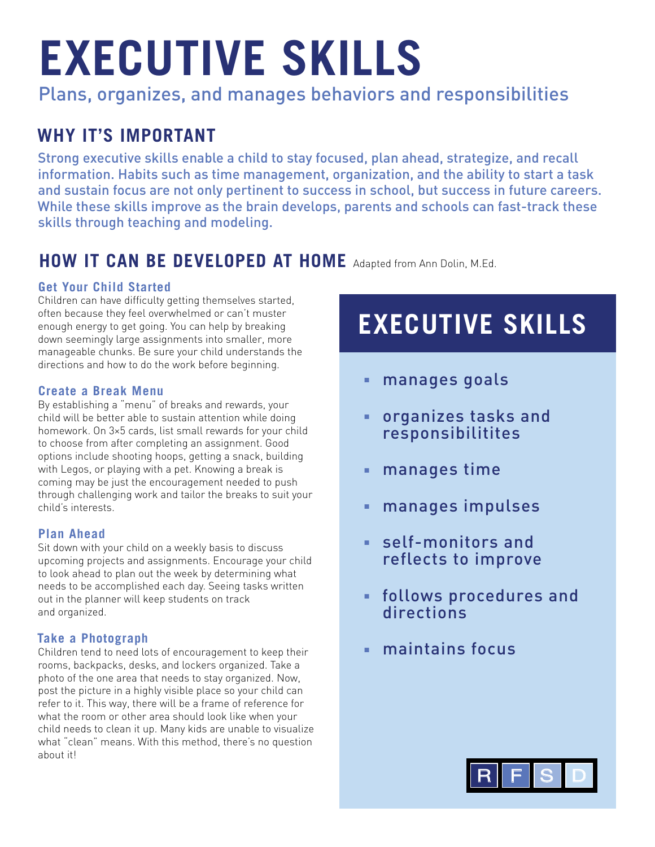## **EXECUTIVE SKILLS**

Plans, organizes, and manages behaviors and responsibilities

#### **WHY IT'S IMPORTANT**

Strong executive skills enable a child to stay focused, plan ahead, strategize, and recall information. Habits such as time management, organization, and the ability to start a task and sustain focus are not only pertinent to success in school, but success in future careers. While these skills improve as the brain develops, parents and schools can fast-track these skills through teaching and modeling.

#### **HOW IT CAN BE DEVELOPED AT HOME** Adapted from Ann Dolin, M.Ed.

#### **Get Your Child Started**

Children can have difficulty getting themselves started, often because they feel overwhelmed or can't muster enough energy to get going. You can help by breaking down seemingly large assignments into smaller, more manageable chunks. Be sure your child understands the directions and how to do the work before beginning.

#### **Create a Break Menu**

By establishing a "menu" of breaks and rewards, your child will be better able to sustain attention while doing homework. On 3×5 cards, list small rewards for your child to choose from after completing an assignment. Good options include shooting hoops, getting a snack, building with Legos, or playing with a pet. Knowing a break is coming may be just the encouragement needed to push through challenging work and tailor the breaks to suit your child's interests.

#### **Plan Ahead**

Sit down with your child on a weekly basis to discuss upcoming projects and assignments. Encourage your child to look ahead to plan out the week by determining what needs to be accomplished each day. Seeing tasks written out in the planner will keep students on track and organized.

#### **Take a Photograph**

Children tend to need lots of encouragement to keep their rooms, backpacks, desks, and lockers organized. Take a photo of the one area that needs to stay organized. Now, post the picture in a highly visible place so your child can refer to it. This way, there will be a frame of reference for what the room or other area should look like when your child needs to clean it up. Many kids are unable to visualize what "clean" means. With this method, there's no question about it!

### **EXECUTIVE SKILLS**

- manages goals
- organizes tasks and responsibilitites
- manages time
- manages impulses
- self-monitors and reflects to improve
- follows procedures and directions
- maintains focus

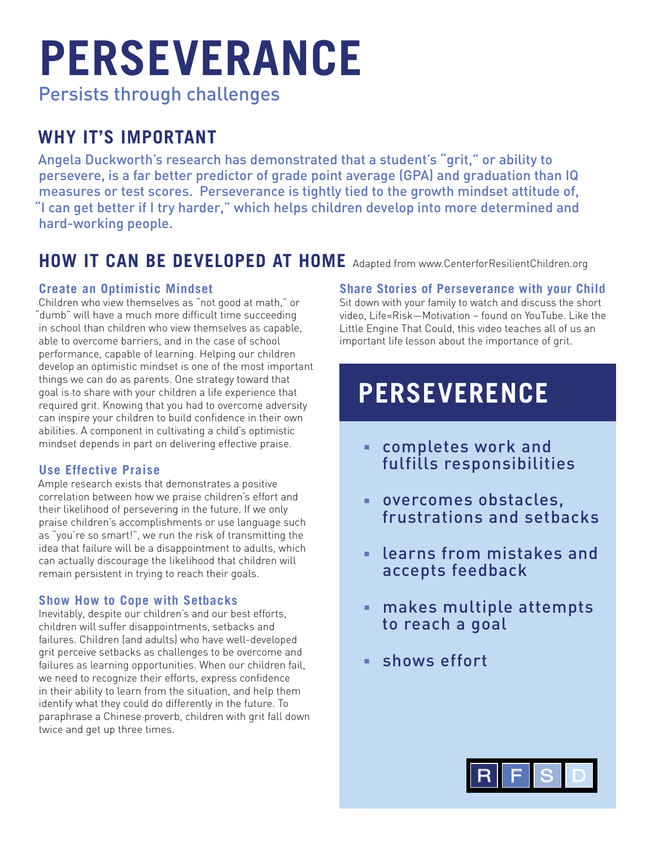## **PERSEVERANCE**

Persists through challenges

#### **WHY IT'S IMPORTANT**

Angela Duckworth's research has demonstrated that a student's "grit," or ability to persevere, is a far better predictor of grade point average (GPA) and graduation than IQ measures or test scores. Perseverance is tightly tied to the growth mindset attitude of, "I can get better if I try harder," which helps children develop into more determined and hard-working people.

#### **HOW IT CAN BE DEVELOPED AT HOME** Adapted from www.CenterforResilientChildren.org

#### **Create an Optimistic Mindset**

Children who view themselves as "not good at math," or "dumb" will have a much more difficult time succeeding in school than children who view themselves as capable, able to overcome barriers, and in the case of school performance, capable of learning. Helping our children develop an optimistic mindset is one of the most important things we can do as parents. One strategy toward that goal is to share with your children a life experience that required grit. Knowing that you had to overcome adversity can inspire your children to build confidence in their own abilities. A component in cultivating a child's optimistic mindset depends in part on delivering effective praise.

#### **Use Effective Praise**

Ample research exists that demonstrates a positive correlation between how we praise children's effort and their likelihood of persevering in the future. If we only praise children's accomplishments or use language such as "you're so smart!", we run the risk of transmitting the idea that failure will be a disappointment to adults, which can actually discourage the likelihood that children will remain persistent in trying to reach their goals.

#### **Show How to Cope with Setbacks**

Inevitably, despite our children's and our best efforts, children will suffer disappointments, setbacks and failures. Children (and adults) who have well-developed grit perceive setbacks as challenges to be overcome and failures as learning opportunities. When our children fail, we need to recognize their efforts, express confidence in their ability to learn from the situation, and help them identify what they could do differently in the future. To paraphrase a Chinese proverb, children with grit fall down twice and get up three times.

#### **Share Stories of Perseverance with your Child**

Sit down with your family to watch and discuss the short video, Life=Risk—Motivation – found on YouTube. Like the Little Engine That Could, this video teaches all of us an important life lesson about the importance of grit.

### **PERSEVERENCE**

- completes work and fulfills responsibilities
- overcomes obstacles, frustrations and setbacks
- learns from mistakes and accepts feedback
- makes multiple attempts to reach a goal
- shows effort

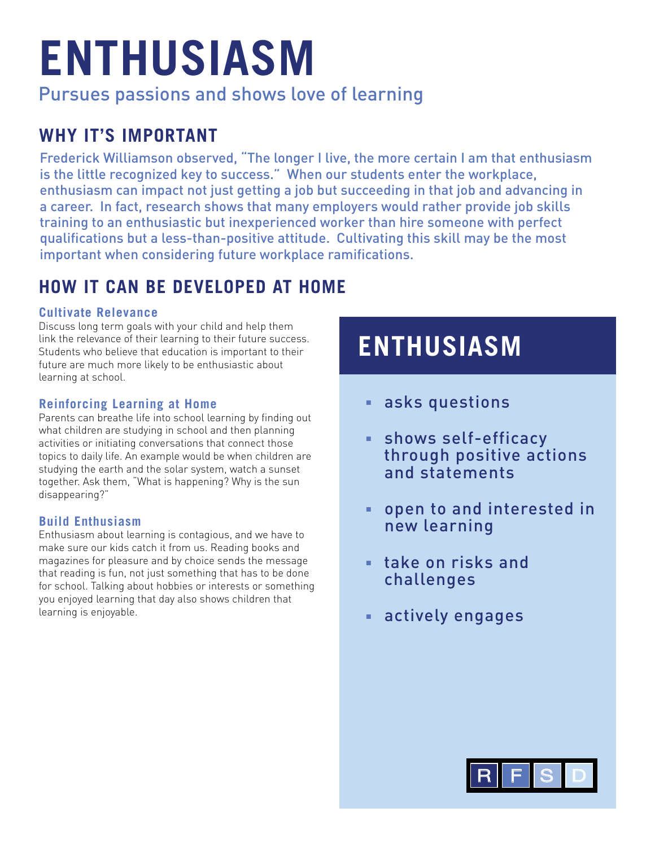## **ENTHUSIASM**

Pursues passions and shows love of learning

#### **WHY IT'S IMPORTANT**

Frederick Williamson observed, "The longer I live, the more certain I am that enthusiasm is the little recognized key to success." When our students enter the workplace, enthusiasm can impact not just getting a job but succeeding in that job and advancing in a career. In fact, research shows that many employers would rather provide job skills training to an enthusiastic but inexperienced worker than hire someone with perfect qualifications but a less-than-positive attitude. Cultivating this skill may be the most important when considering future workplace ramifications.

#### **HOW IT CAN BE DEVELOPED AT HOME**

#### **Cultivate Relevance**

Discuss long term goals with your child and help them link the relevance of their learning to their future success. Students who believe that education is important to their future are much more likely to be enthusiastic about learning at school.

#### **Reinforcing Learning at Home**

Parents can breathe life into school learning by finding out what children are studying in school and then planning activities or initiating conversations that connect those topics to daily life. An example would be when children are studying the earth and the solar system, watch a sunset together. Ask them, "What is happening? Why is the sun disappearing?"

#### **Build Enthusiasm**

Enthusiasm about learning is contagious, and we have to make sure our kids catch it from us. Reading books and magazines for pleasure and by choice sends the message that reading is fun, not just something that has to be done for school. Talking about hobbies or interests or something you enjoyed learning that day also shows children that learning is enjoyable.

## **ENTHUSIASM**

- asks questions
- shows self-efficacy through positive actions and statements
- open to and interested in new learning
- take on risks and challenges
- actively engages

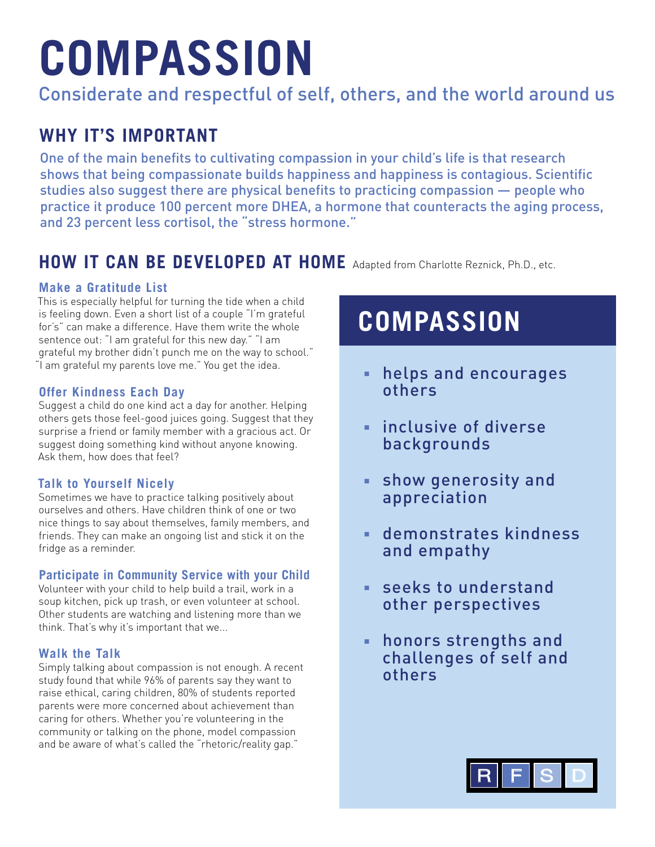## **COMPASSION**

Considerate and respectful of self, others, and the world around us

#### **WHY IT'S IMPORTANT**

One of the main benefits to cultivating compassion in your child's life is that research shows that being compassionate builds happiness and happiness is contagious. Scientific studies also suggest there are physical benefits to practicing compassion — people who practice it produce 100 percent more DHEA, a hormone that counteracts the aging process, and 23 percent less cortisol, the "stress hormone."

#### **HOW IT CAN BE DEVELOPED AT HOME** Adapted from Charlotte Reznick, Ph.D., etc.

#### **Make a Gratitude List**

This is especially helpful for turning the tide when a child is feeling down. Even a short list of a couple "I'm grateful for's" can make a difference. Have them write the whole sentence out: "I am grateful for this new day." "I am grateful my brother didn't punch me on the way to school." "I am grateful my parents love me." You get the idea.

#### **Offer Kindness Each Day**

Suggest a child do one kind act a day for another. Helping others gets those feel-good juices going. Suggest that they surprise a friend or family member with a gracious act. Or suggest doing something kind without anyone knowing. Ask them, how does that feel?

#### **Talk to Yourself Nicely**

Sometimes we have to practice talking positively about ourselves and others. Have children think of one or two nice things to say about themselves, family members, and friends. They can make an ongoing list and stick it on the fridge as a reminder.

#### **Participate in Community Service with your Child**

Volunteer with your child to help build a trail, work in a soup kitchen, pick up trash, or even volunteer at school. Other students are watching and listening more than we think. That's why it's important that we...

#### **Walk the Talk**

Simply talking about compassion is not enough. A recent study found that while 96% of parents say they want to raise ethical, caring children, 80% of students reported parents were more concerned about achievement than caring for others. Whether you're volunteering in the community or talking on the phone, model compassion and be aware of what's called the "rhetoric/reality gap."

### **COMPASSION**

- helps and encourages others
- inclusive of diverse backgrounds
- show generosity and appreciation
- demonstrates kindness and empathy
- seeks to understand other perspectives
- honors strengths and challenges of self and others